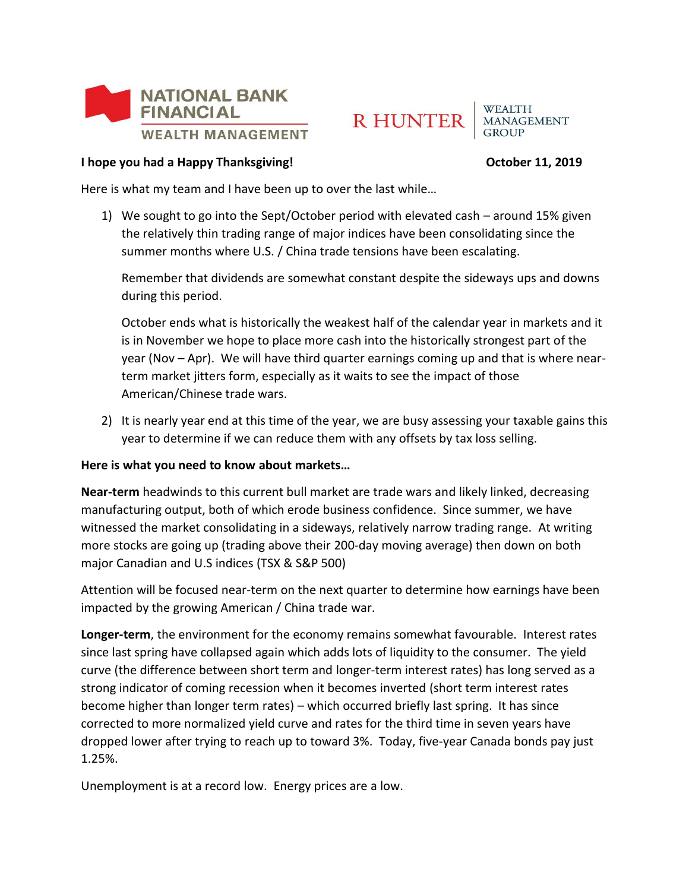



**WEALTH MANAGEMENT** 

## **I hope you had a Happy Thanksgiving! CHAPP 11, 2019 October 11, 2019**

Here is what my team and I have been up to over the last while…

1) We sought to go into the Sept/October period with elevated cash – around 15% given the relatively thin trading range of major indices have been consolidating since the summer months where U.S. / China trade tensions have been escalating.

Remember that dividends are somewhat constant despite the sideways ups and downs during this period.

October ends what is historically the weakest half of the calendar year in markets and it is in November we hope to place more cash into the historically strongest part of the year (Nov – Apr). We will have third quarter earnings coming up and that is where nearterm market jitters form, especially as it waits to see the impact of those American/Chinese trade wars.

2) It is nearly year end at this time of the year, we are busy assessing your taxable gains this year to determine if we can reduce them with any offsets by tax loss selling.

## **Here is what you need to know about markets…**

**Near-term** headwinds to this current bull market are trade wars and likely linked, decreasing manufacturing output, both of which erode business confidence. Since summer, we have witnessed the market consolidating in a sideways, relatively narrow trading range. At writing more stocks are going up (trading above their 200-day moving average) then down on both major Canadian and U.S indices (TSX & S&P 500)

Attention will be focused near-term on the next quarter to determine how earnings have been impacted by the growing American / China trade war.

**Longer-term**, the environment for the economy remains somewhat favourable. Interest rates since last spring have collapsed again which adds lots of liquidity to the consumer. The yield curve (the difference between short term and longer-term interest rates) has long served as a strong indicator of coming recession when it becomes inverted (short term interest rates become higher than longer term rates) – which occurred briefly last spring. It has since corrected to more normalized yield curve and rates for the third time in seven years have dropped lower after trying to reach up to toward 3%. Today, five-year Canada bonds pay just 1.25%.

Unemployment is at a record low. Energy prices are a low.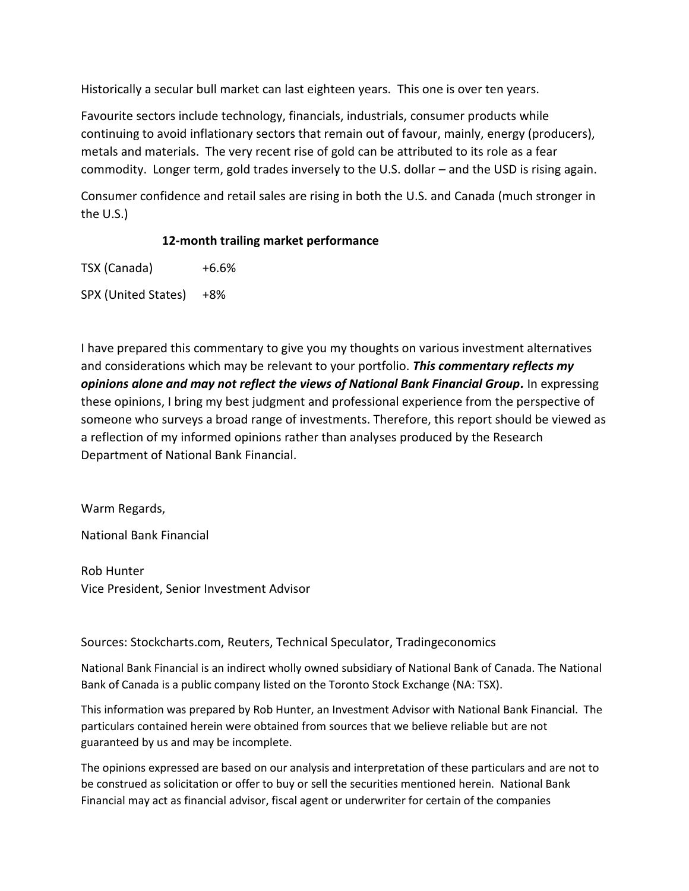Historically a secular bull market can last eighteen years. This one is over ten years.

Favourite sectors include technology, financials, industrials, consumer products while continuing to avoid inflationary sectors that remain out of favour, mainly, energy (producers), metals and materials. The very recent rise of gold can be attributed to its role as a fear commodity. Longer term, gold trades inversely to the U.S. dollar – and the USD is rising again.

Consumer confidence and retail sales are rising in both the U.S. and Canada (much stronger in the U.S.)

## **12-month trailing market performance**

TSX (Canada) +6.6%

SPX (United States) +8%

I have prepared this commentary to give you my thoughts on various investment alternatives and considerations which may be relevant to your portfolio. *This commentary reflects my opinions alone and may not reflect the views of National Bank Financial Group.* In expressing these opinions, I bring my best judgment and professional experience from the perspective of someone who surveys a broad range of investments. Therefore, this report should be viewed as a reflection of my informed opinions rather than analyses produced by the Research Department of National Bank Financial.

Warm Regards,

National Bank Financial

Rob Hunter Vice President, Senior Investment Advisor

Sources: Stockcharts.com, Reuters, Technical Speculator, Tradingeconomics

National Bank Financial is an indirect wholly owned subsidiary of National Bank of Canada. The National Bank of Canada is a public company listed on the Toronto Stock Exchange (NA: TSX).

This information was prepared by Rob Hunter, an Investment Advisor with National Bank Financial. The particulars contained herein were obtained from sources that we believe reliable but are not guaranteed by us and may be incomplete.

The opinions expressed are based on our analysis and interpretation of these particulars and are not to be construed as solicitation or offer to buy or sell the securities mentioned herein. National Bank Financial may act as financial advisor, fiscal agent or underwriter for certain of the companies